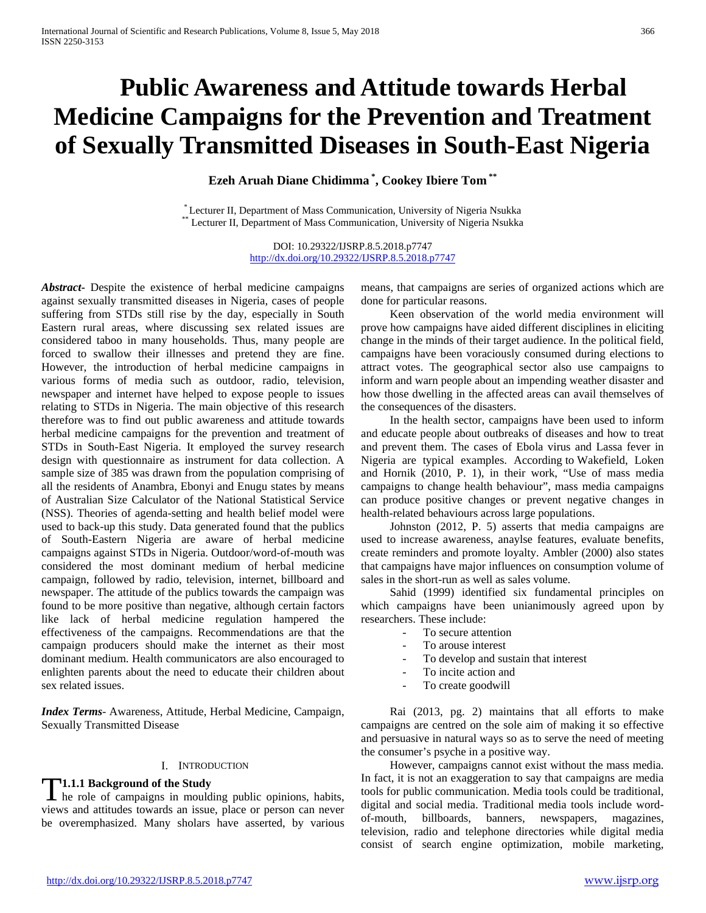# **Public Awareness and Attitude towards Herbal Medicine Campaigns for the Prevention and Treatment of Sexually Transmitted Diseases in South-East Nigeria**

**Ezeh Aruah Diane Chidimma \* , Cookey Ibiere Tom \*\***

\* Lecturer II, Department of Mass Communication, University of Nigeria Nsukka \*\* Lecturer II, Department of Mass Communication, University of Nigeria Nsukka

DOI: 10.29322/IJSRP.8.5.2018.p7747 <http://dx.doi.org/10.29322/IJSRP.8.5.2018.p7747>

*Abstract***-** Despite the existence of herbal medicine campaigns against sexually transmitted diseases in Nigeria, cases of people suffering from STDs still rise by the day, especially in South Eastern rural areas, where discussing sex related issues are considered taboo in many households. Thus, many people are forced to swallow their illnesses and pretend they are fine. However, the introduction of herbal medicine campaigns in various forms of media such as outdoor, radio, television, newspaper and internet have helped to expose people to issues relating to STDs in Nigeria. The main objective of this research therefore was to find out public awareness and attitude towards herbal medicine campaigns for the prevention and treatment of STDs in South-East Nigeria. It employed the survey research design with questionnaire as instrument for data collection. A sample size of 385 was drawn from the population comprising of all the residents of Anambra, Ebonyi and Enugu states by means of Australian Size Calculator of the National Statistical Service (NSS). Theories of agenda-setting and health belief model were used to back-up this study. Data generated found that the publics of South-Eastern Nigeria are aware of herbal medicine campaigns against STDs in Nigeria. Outdoor/word-of-mouth was considered the most dominant medium of herbal medicine campaign, followed by radio, television, internet, billboard and newspaper. The attitude of the publics towards the campaign was found to be more positive than negative, although certain factors like lack of herbal medicine regulation hampered the effectiveness of the campaigns. Recommendations are that the campaign producers should make the internet as their most dominant medium. Health communicators are also encouraged to enlighten parents about the need to educate their children about sex related issues.

*Index Terms*- Awareness, Attitude, Herbal Medicine, Campaign, Sexually Transmitted Disease

#### I. INTRODUCTION

# **1.1.1 Background of the Study**

T1.1.1 Background of the Study<br>
he role of campaigns in moulding public opinions, habits, views and attitudes towards an issue, place or person can never be overemphasized. Many sholars have asserted, by various

means, that campaigns are series of organized actions which are done for particular reasons.

 Keen observation of the world media environment will prove how campaigns have aided different disciplines in eliciting change in the minds of their target audience. In the political field, campaigns have been voraciously consumed during elections to attract votes. The geographical sector also use campaigns to inform and warn people about an impending weather disaster and how those dwelling in the affected areas can avail themselves of the consequences of the disasters.

 In the health sector, campaigns have been used to inform and educate people about outbreaks of diseases and how to treat and prevent them. The cases of Ebola virus and Lassa fever in Nigeria are typical examples. According to Wakefield, Loken and Hornik (2010, P. 1), in their work, "Use of mass media campaigns to change health behaviour", mass media campaigns can produce positive changes or prevent negative changes in health-related behaviours across large populations.

 Johnston (2012, P. 5) asserts that media campaigns are used to increase awareness, anaylse features, evaluate benefits, create reminders and promote loyalty. Ambler (2000) also states that campaigns have major influences on consumption volume of sales in the short-run as well as sales volume.

 Sahid (1999) identified six fundamental principles on which campaigns have been unianimously agreed upon by researchers. These include:

- To secure attention
- To arouse interest
- To develop and sustain that interest
- To incite action and
- To create goodwill

 Rai (2013, pg. 2) maintains that all efforts to make campaigns are centred on the sole aim of making it so effective and persuasive in natural ways so as to serve the need of meeting the consumer's psyche in a positive way.

 However, campaigns cannot exist without the mass media. In fact, it is not an exaggeration to say that campaigns are media tools for public communication. Media tools could be traditional, digital and social media. Traditional media tools include wordof-mouth, billboards, banners, newspapers, magazines, television, radio and telephone directories while digital media consist of search engine optimization, mobile marketing,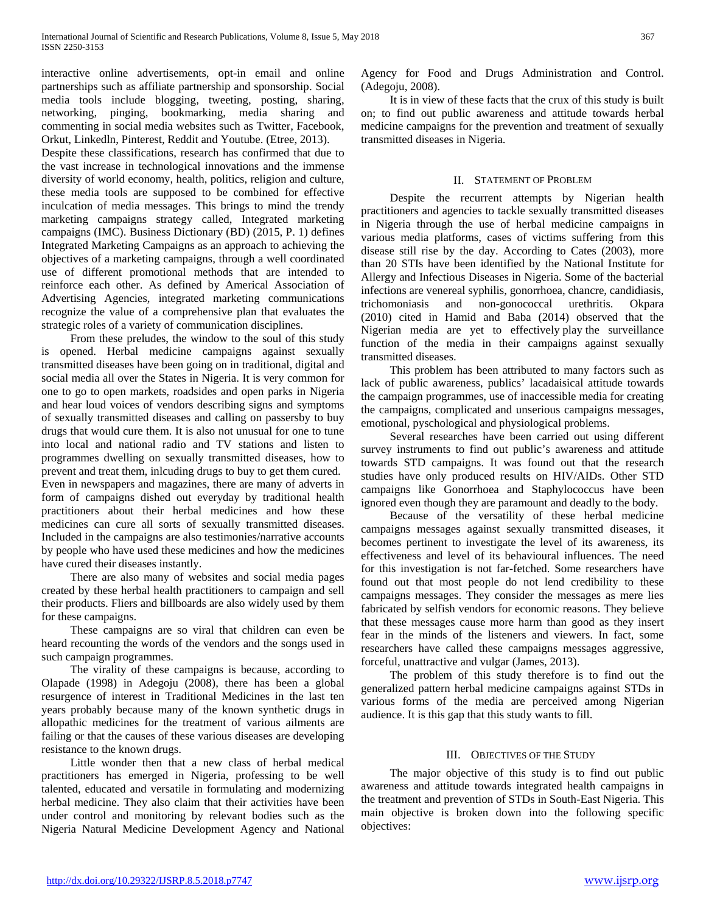interactive online advertisements, opt-in email and online partnerships such as affiliate partnership and sponsorship. Social media tools include blogging, tweeting, posting, sharing, networking, pinging, bookmarking, media sharing and commenting in social media websites such as Twitter, Facebook, Orkut, Linkedln, Pinterest, Reddit and Youtube. (Etree, 2013).

Despite these classifications, research has confirmed that due to the vast increase in technological innovations and the immense diversity of world economy, health, politics, religion and culture, these media tools are supposed to be combined for effective inculcation of media messages. This brings to mind the trendy marketing campaigns strategy called, Integrated marketing campaigns (IMC). Business Dictionary (BD) (2015, P. 1) defines Integrated Marketing Campaigns as an approach to achieving the objectives of a marketing campaigns, through a well coordinated use of different promotional methods that are intended to reinforce each other. As defined by Americal Association of Advertising Agencies, integrated marketing communications recognize the value of a comprehensive plan that evaluates the strategic roles of a variety of communication disciplines.

 From these preludes, the window to the soul of this study is opened. Herbal medicine campaigns against sexually transmitted diseases have been going on in traditional, digital and social media all over the States in Nigeria. It is very common for one to go to open markets, roadsides and open parks in Nigeria and hear loud voices of vendors describing signs and symptoms of sexually transmitted diseases and calling on passersby to buy drugs that would cure them. It is also not unusual for one to tune into local and national radio and TV stations and listen to programmes dwelling on sexually transmitted diseases, how to prevent and treat them, inlcuding drugs to buy to get them cured. Even in newspapers and magazines, there are many of adverts in form of campaigns dished out everyday by traditional health practitioners about their herbal medicines and how these medicines can cure all sorts of sexually transmitted diseases. Included in the campaigns are also testimonies/narrative accounts by people who have used these medicines and how the medicines have cured their diseases instantly.

 There are also many of websites and social media pages created by these herbal health practitioners to campaign and sell their products. Fliers and billboards are also widely used by them for these campaigns.

 These campaigns are so viral that children can even be heard recounting the words of the vendors and the songs used in such campaign programmes.

 The virality of these campaigns is because, according to Olapade (1998) in Adegoju (2008), there has been a global resurgence of interest in Traditional Medicines in the last ten years probably because many of the known synthetic drugs in allopathic medicines for the treatment of various ailments are failing or that the causes of these various diseases are developing resistance to the known drugs.

 Little wonder then that a new class of herbal medical practitioners has emerged in Nigeria, professing to be well talented, educated and versatile in formulating and modernizing herbal medicine. They also claim that their activities have been under control and monitoring by relevant bodies such as the Nigeria Natural Medicine Development Agency and National

Agency for Food and Drugs Administration and Control. (Adegoju, 2008).

 It is in view of these facts that the crux of this study is built on; to find out public awareness and attitude towards herbal medicine campaigns for the prevention and treatment of sexually transmitted diseases in Nigeria.

## II. STATEMENT OF PROBLEM

 Despite the recurrent attempts by Nigerian health practitioners and agencies to tackle sexually transmitted diseases in Nigeria through the use of herbal medicine campaigns in various media platforms, cases of victims suffering from this disease still rise by the day. According to Cates (2003), more than 20 STIs have been identified by the National Institute for Allergy and Infectious Diseases in Nigeria. Some of the bacterial infections are venereal syphilis, gonorrhoea, chancre, candidiasis, trichomoniasis and non-gonococcal urethritis. Okpara (2010) cited in Hamid and Baba (2014) observed that the Nigerian media are yet to effectively play the surveillance function of the media in their campaigns against sexually transmitted diseases.

 This problem has been attributed to many factors such as lack of public awareness, publics' lacadaisical attitude towards the campaign programmes, use of inaccessible media for creating the campaigns, complicated and unserious campaigns messages, emotional, pyschological and physiological problems.

 Several researches have been carried out using different survey instruments to find out public's awareness and attitude towards STD campaigns. It was found out that the research studies have only produced results on HIV/AIDs. Other STD campaigns like Gonorrhoea and Staphylococcus have been ignored even though they are paramount and deadly to the body.

 Because of the versatility of these herbal medicine campaigns messages against sexually transmitted diseases, it becomes pertinent to investigate the level of its awareness, its effectiveness and level of its behavioural influences. The need for this investigation is not far-fetched. Some researchers have found out that most people do not lend credibility to these campaigns messages. They consider the messages as mere lies fabricated by selfish vendors for economic reasons. They believe that these messages cause more harm than good as they insert fear in the minds of the listeners and viewers. In fact, some researchers have called these campaigns messages aggressive, forceful, unattractive and vulgar (James, 2013).

 The problem of this study therefore is to find out the generalized pattern herbal medicine campaigns against STDs in various forms of the media are perceived among Nigerian audience. It is this gap that this study wants to fill.

#### III. OBJECTIVES OF THE STUDY

 The major objective of this study is to find out public awareness and attitude towards integrated health campaigns in the treatment and prevention of STDs in South-East Nigeria. This main objective is broken down into the following specific objectives: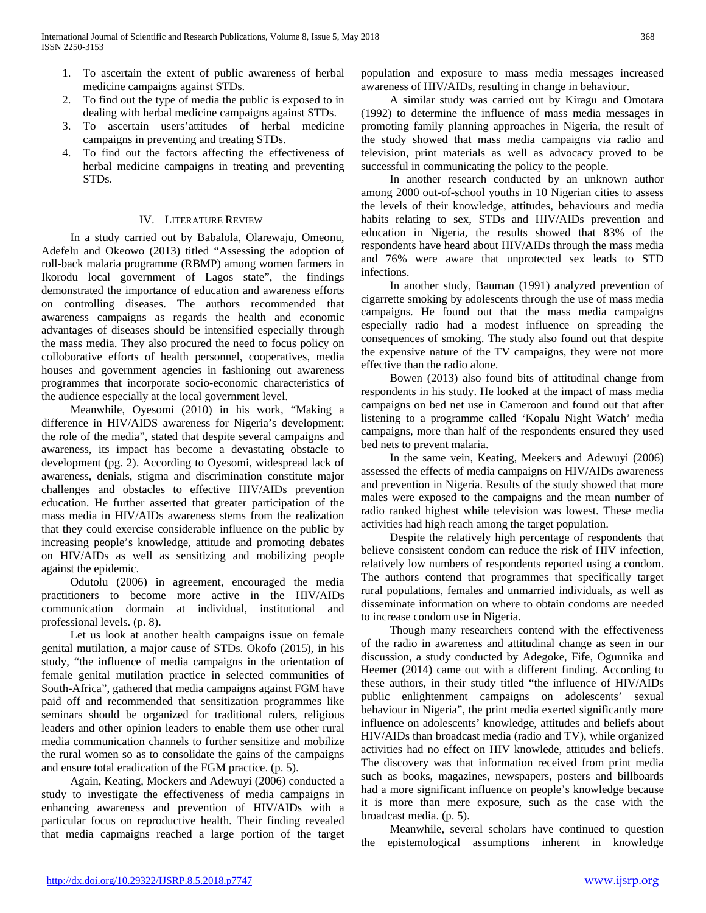- 1. To ascertain the extent of public awareness of herbal medicine campaigns against STDs.
- 2. To find out the type of media the public is exposed to in dealing with herbal medicine campaigns against STDs.
- 3. To ascertain users'attitudes of herbal medicine campaigns in preventing and treating STDs.
- 4. To find out the factors affecting the effectiveness of herbal medicine campaigns in treating and preventing STDs.

#### IV. LITERATURE REVIEW

 In a study carried out by Babalola, Olarewaju, Omeonu, Adefelu and Okeowo (2013) titled "Assessing the adoption of roll-back malaria programme (RBMP) among women farmers in Ikorodu local government of Lagos state", the findings demonstrated the importance of education and awareness efforts on controlling diseases. The authors recommended that awareness campaigns as regards the health and economic advantages of diseases should be intensified especially through the mass media. They also procured the need to focus policy on colloborative efforts of health personnel, cooperatives, media houses and government agencies in fashioning out awareness programmes that incorporate socio-economic characteristics of the audience especially at the local government level.

 Meanwhile, Oyesomi (2010) in his work, "Making a difference in HIV/AIDS awareness for Nigeria's development: the role of the media", stated that despite several campaigns and awareness, its impact has become a devastating obstacle to development (pg. 2). According to Oyesomi, widespread lack of awareness, denials, stigma and discrimination constitute major challenges and obstacles to effective HIV/AIDs prevention education. He further asserted that greater participation of the mass media in HIV/AIDs awareness stems from the realization that they could exercise considerable influence on the public by increasing people's knowledge, attitude and promoting debates on HIV/AIDs as well as sensitizing and mobilizing people against the epidemic.

 Odutolu (2006) in agreement, encouraged the media practitioners to become more active in the HIV/AIDs communication dormain at individual, institutional and professional levels. (p. 8).

 Let us look at another health campaigns issue on female genital mutilation, a major cause of STDs. Okofo (2015), in his study, "the influence of media campaigns in the orientation of female genital mutilation practice in selected communities of South-Africa", gathered that media campaigns against FGM have paid off and recommended that sensitization programmes like seminars should be organized for traditional rulers, religious leaders and other opinion leaders to enable them use other rural media communication channels to further sensitize and mobilize the rural women so as to consolidate the gains of the campaigns and ensure total eradication of the FGM practice. (p. 5).

 Again, Keating, Mockers and Adewuyi (2006) conducted a study to investigate the effectiveness of media campaigns in enhancing awareness and prevention of HIV/AIDs with a particular focus on reproductive health. Their finding revealed that media capmaigns reached a large portion of the target population and exposure to mass media messages increased awareness of HIV/AIDs, resulting in change in behaviour.

 A similar study was carried out by Kiragu and Omotara (1992) to determine the influence of mass media messages in promoting family planning approaches in Nigeria, the result of the study showed that mass media campaigns via radio and television, print materials as well as advocacy proved to be successful in communicating the policy to the people.

 In another research conducted by an unknown author among 2000 out-of-school youths in 10 Nigerian cities to assess the levels of their knowledge, attitudes, behaviours and media habits relating to sex, STDs and HIV/AIDs prevention and education in Nigeria, the results showed that 83% of the respondents have heard about HIV/AIDs through the mass media and 76% were aware that unprotected sex leads to STD infections.

 In another study, Bauman (1991) analyzed prevention of cigarrette smoking by adolescents through the use of mass media campaigns. He found out that the mass media campaigns especially radio had a modest influence on spreading the consequences of smoking. The study also found out that despite the expensive nature of the TV campaigns, they were not more effective than the radio alone.

 Bowen (2013) also found bits of attitudinal change from respondents in his study. He looked at the impact of mass media campaigns on bed net use in Cameroon and found out that after listening to a programme called 'Kopalu Night Watch' media campaigns, more than half of the respondents ensured they used bed nets to prevent malaria.

 In the same vein, Keating, Meekers and Adewuyi (2006) assessed the effects of media campaigns on HIV/AIDs awareness and prevention in Nigeria. Results of the study showed that more males were exposed to the campaigns and the mean number of radio ranked highest while television was lowest. These media activities had high reach among the target population.

 Despite the relatively high percentage of respondents that believe consistent condom can reduce the risk of HIV infection, relatively low numbers of respondents reported using a condom. The authors contend that programmes that specifically target rural populations, females and unmarried individuals, as well as disseminate information on where to obtain condoms are needed to increase condom use in Nigeria.

 Though many researchers contend with the effectiveness of the radio in awareness and attitudinal change as seen in our discussion, a study conducted by Adegoke, Fife, Ogunnika and Heemer (2014) came out with a different finding. According to these authors, in their study titled "the influence of HIV/AIDs public enlightenment campaigns on adolescents' sexual behaviour in Nigeria", the print media exerted significantly more influence on adolescents' knowledge, attitudes and beliefs about HIV/AIDs than broadcast media (radio and TV), while organized activities had no effect on HIV knowlede, attitudes and beliefs. The discovery was that information received from print media such as books, magazines, newspapers, posters and billboards had a more significant influence on people's knowledge because it is more than mere exposure, such as the case with the broadcast media. (p. 5).

 Meanwhile, several scholars have continued to question the epistemological assumptions inherent in knowledge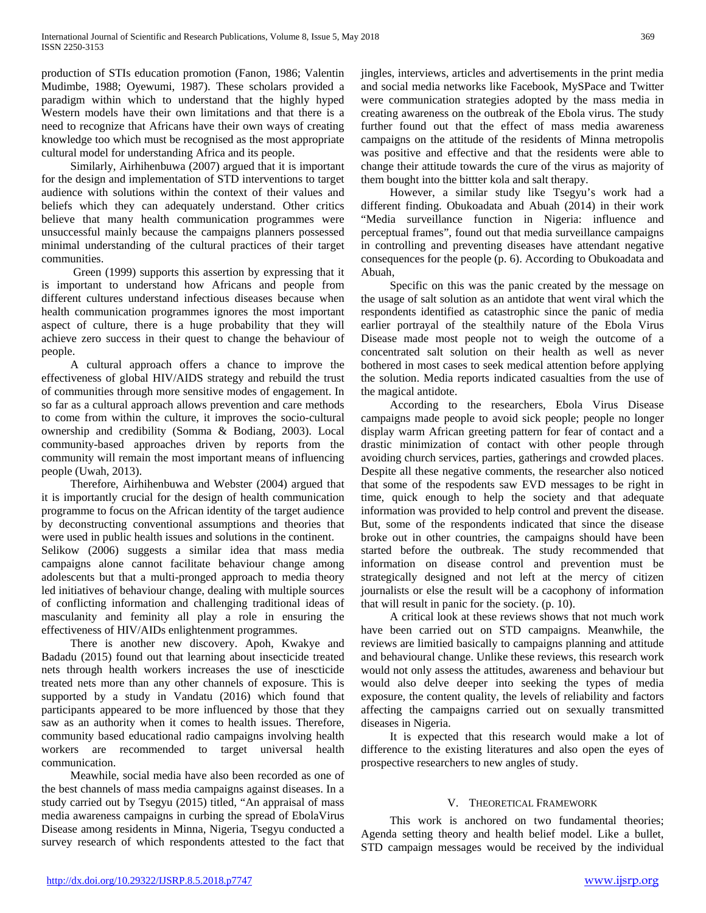production of STIs education promotion (Fanon, 1986; Valentin Mudimbe, 1988; Oyewumi, 1987). These scholars provided a paradigm within which to understand that the highly hyped Western models have their own limitations and that there is a need to recognize that Africans have their own ways of creating knowledge too which must be recognised as the most appropriate cultural model for understanding Africa and its people.

 Similarly, Airhihenbuwa (2007) argued that it is important for the design and implementation of STD interventions to target audience with solutions within the context of their values and beliefs which they can adequately understand. Other critics believe that many health communication programmes were unsuccessful mainly because the campaigns planners possessed minimal understanding of the cultural practices of their target communities.

 Green (1999) supports this assertion by expressing that it is important to understand how Africans and people from different cultures understand infectious diseases because when health communication programmes ignores the most important aspect of culture, there is a huge probability that they will achieve zero success in their quest to change the behaviour of people.

 A cultural approach offers a chance to improve the effectiveness of global HIV/AIDS strategy and rebuild the trust of communities through more sensitive modes of engagement. In so far as a cultural approach allows prevention and care methods to come from within the culture, it improves the socio-cultural ownership and credibility (Somma & Bodiang, 2003). Local community-based approaches driven by reports from the community will remain the most important means of influencing people (Uwah, 2013).

 Therefore, Airhihenbuwa and Webster (2004) argued that it is importantly crucial for the design of health communication programme to focus on the African identity of the target audience by deconstructing conventional assumptions and theories that were used in public health issues and solutions in the continent.

Selikow (2006) suggests a similar idea that mass media campaigns alone cannot facilitate behaviour change among adolescents but that a multi-pronged approach to media theory led initiatives of behaviour change, dealing with multiple sources of conflicting information and challenging traditional ideas of masculanity and feminity all play a role in ensuring the effectiveness of HIV/AIDs enlightenment programmes.

 There is another new discovery. Apoh, Kwakye and Badadu (2015) found out that learning about insecticide treated nets through health workers increases the use of inescticide treated nets more than any other channels of exposure. This is supported by a study in Vandatu (2016) which found that participants appeared to be more influenced by those that they saw as an authority when it comes to health issues. Therefore, community based educational radio campaigns involving health workers are recommended to target universal health communication.

 Meawhile, social media have also been recorded as one of the best channels of mass media campaigns against diseases. In a study carried out by Tsegyu (2015) titled, "An appraisal of mass media awareness campaigns in curbing the spread of EbolaVirus Disease among residents in Minna, Nigeria, Tsegyu conducted a survey research of which respondents attested to the fact that jingles, interviews, articles and advertisements in the print media and social media networks like Facebook, MySPace and Twitter were communication strategies adopted by the mass media in creating awareness on the outbreak of the Ebola virus. The study further found out that the effect of mass media awareness campaigns on the attitude of the residents of Minna metropolis was positive and effective and that the residents were able to change their attitude towards the cure of the virus as majority of them bought into the bittter kola and salt therapy.

 However, a similar study like Tsegyu's work had a different finding. Obukoadata and Abuah (2014) in their work "Media surveillance function in Nigeria: influence and perceptual frames", found out that media surveillance campaigns in controlling and preventing diseases have attendant negative consequences for the people (p. 6). According to Obukoadata and Abuah,

 Specific on this was the panic created by the message on the usage of salt solution as an antidote that went viral which the respondents identified as catastrophic since the panic of media earlier portrayal of the stealthily nature of the Ebola Virus Disease made most people not to weigh the outcome of a concentrated salt solution on their health as well as never bothered in most cases to seek medical attention before applying the solution. Media reports indicated casualties from the use of the magical antidote.

 According to the researchers, Ebola Virus Disease campaigns made people to avoid sick people; people no longer display warm African greeting pattern for fear of contact and a drastic minimization of contact with other people through avoiding church services, parties, gatherings and crowded places. Despite all these negative comments, the researcher also noticed that some of the respodents saw EVD messages to be right in time, quick enough to help the society and that adequate information was provided to help control and prevent the disease. But, some of the respondents indicated that since the disease broke out in other countries, the campaigns should have been started before the outbreak. The study recommended that information on disease control and prevention must be strategically designed and not left at the mercy of citizen journalists or else the result will be a cacophony of information that will result in panic for the society. (p. 10).

 A critical look at these reviews shows that not much work have been carried out on STD campaigns. Meanwhile, the reviews are limitied basically to campaigns planning and attitude and behavioural change. Unlike these reviews, this research work would not only assess the attitudes, awareness and behaviour but would also delve deeper into seeking the types of media exposure, the content quality, the levels of reliability and factors affecting the campaigns carried out on sexually transmitted diseases in Nigeria.

 It is expected that this research would make a lot of difference to the existing literatures and also open the eyes of prospective researchers to new angles of study.

# V. THEORETICAL FRAMEWORK

 This work is anchored on two fundamental theories; Agenda setting theory and health belief model. Like a bullet, STD campaign messages would be received by the individual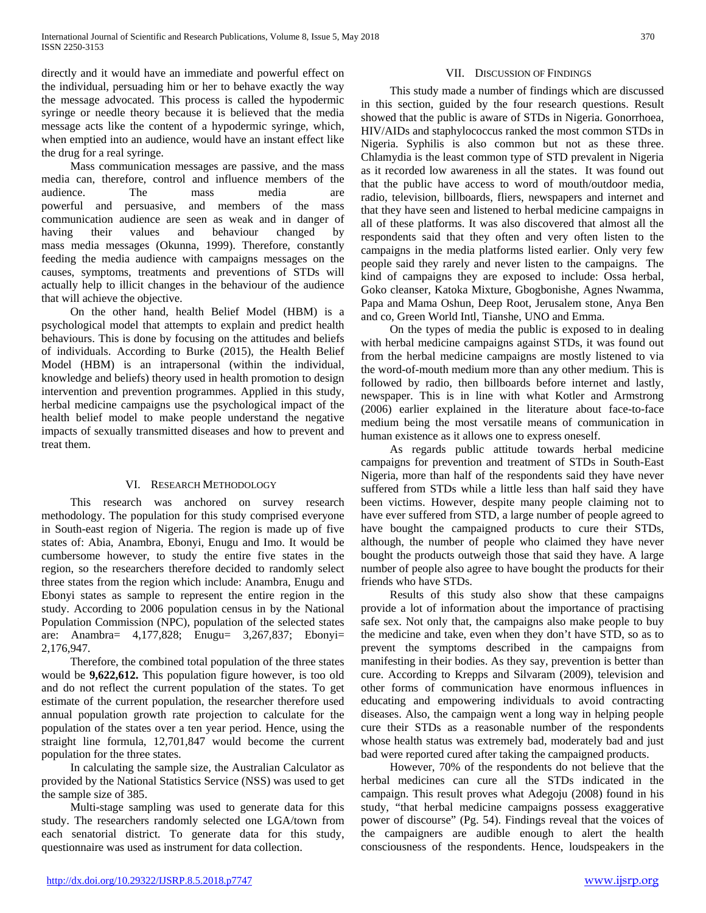directly and it would have an immediate and powerful effect on the individual, persuading him or her to behave exactly the way the message advocated. This process is called the hypodermic syringe or needle theory because it is believed that the media message acts like the content of a hypodermic syringe, which, when emptied into an audience, would have an instant effect like the drug for a real syringe.

 Mass communication messages are passive, and the mass media can, therefore, control and influence members of the audience. The mass media are powerful and persuasive, and members of the mass communication audience are seen as weak and in danger of having their values and behaviour changed by mass media messages (Okunna, 1999). Therefore, constantly feeding the media audience with campaigns messages on the causes, symptoms, treatments and preventions of STDs will actually help to illicit changes in the behaviour of the audience that will achieve the objective.

 On the other hand, health Belief Model (HBM) is a psychological model that attempts to explain and predict health behaviours. This is done by focusing on the attitudes and beliefs of individuals. According to Burke (2015), the Health Belief Model (HBM) is an intrapersonal (within the individual, knowledge and beliefs) theory used in health promotion to design intervention and prevention programmes. Applied in this study, herbal medicine campaigns use the psychological impact of the health belief model to make people understand the negative impacts of sexually transmitted diseases and how to prevent and treat them.

# VI. RESEARCH METHODOLOGY

 This research was anchored on survey research methodology. The population for this study comprised everyone in South-east region of Nigeria. The region is made up of five states of: Abia, Anambra, Ebonyi, Enugu and Imo. It would be cumbersome however, to study the entire five states in the region, so the researchers therefore decided to randomly select three states from the region which include: Anambra, Enugu and Ebonyi states as sample to represent the entire region in the study. According to 2006 population census in by the National Population Commission (NPC), population of the selected states are: Anambra= 4,177,828; Enugu= 3,267,837; Ebonyi= 2,176,947.

 Therefore, the combined total population of the three states would be **9,622,612.** This population figure however, is too old and do not reflect the current population of the states. To get estimate of the current population, the researcher therefore used annual population growth rate projection to calculate for the population of the states over a ten year period. Hence, using the straight line formula, 12,701,847 would become the current population for the three states.

 In calculating the sample size, the Australian Calculator as provided by the National Statistics Service (NSS) was used to get the sample size of 385.

 Multi-stage sampling was used to generate data for this study. The researchers randomly selected one LGA/town from each senatorial district. To generate data for this study, questionnaire was used as instrument for data collection.

#### VII. DISCUSSION OF FINDINGS

 This study made a number of findings which are discussed in this section, guided by the four research questions. Result showed that the public is aware of STDs in Nigeria. Gonorrhoea, HIV/AIDs and staphylococcus ranked the most common STDs in Nigeria. Syphilis is also common but not as these three. Chlamydia is the least common type of STD prevalent in Nigeria as it recorded low awareness in all the states. It was found out that the public have access to word of mouth/outdoor media, radio, television, billboards, fliers, newspapers and internet and that they have seen and listened to herbal medicine campaigns in all of these platforms. It was also discovered that almost all the respondents said that they often and very often listen to the campaigns in the media platforms listed earlier. Only very few people said they rarely and never listen to the campaigns. The kind of campaigns they are exposed to include: Ossa herbal, Goko cleanser, Katoka Mixture, Gbogbonishe, Agnes Nwamma, Papa and Mama Oshun, Deep Root, Jerusalem stone, Anya Ben and co, Green World Intl, Tianshe, UNO and Emma.

 On the types of media the public is exposed to in dealing with herbal medicine campaigns against STDs, it was found out from the herbal medicine campaigns are mostly listened to via the word-of-mouth medium more than any other medium. This is followed by radio, then billboards before internet and lastly, newspaper. This is in line with what Kotler and Armstrong (2006) earlier explained in the literature about face-to-face medium being the most versatile means of communication in human existence as it allows one to express oneself.

 As regards public attitude towards herbal medicine campaigns for prevention and treatment of STDs in South-East Nigeria, more than half of the respondents said they have never suffered from STDs while a little less than half said they have been victims. However, despite many people claiming not to have ever suffered from STD, a large number of people agreed to have bought the campaigned products to cure their STDs, although, the number of people who claimed they have never bought the products outweigh those that said they have. A large number of people also agree to have bought the products for their friends who have STDs.

 Results of this study also show that these campaigns provide a lot of information about the importance of practising safe sex. Not only that, the campaigns also make people to buy the medicine and take, even when they don't have STD, so as to prevent the symptoms described in the campaigns from manifesting in their bodies. As they say, prevention is better than cure. According to Krepps and Silvaram (2009), television and other forms of communication have enormous influences in educating and empowering individuals to avoid contracting diseases. Also, the campaign went a long way in helping people cure their STDs as a reasonable number of the respondents whose health status was extremely bad, moderately bad and just bad were reported cured after taking the campaigned products.

 However, 70% of the respondents do not believe that the herbal medicines can cure all the STDs indicated in the campaign. This result proves what Adegoju (2008) found in his study, "that herbal medicine campaigns possess exaggerative power of discourse" (Pg. 54). Findings reveal that the voices of the campaigners are audible enough to alert the health consciousness of the respondents. Hence, loudspeakers in the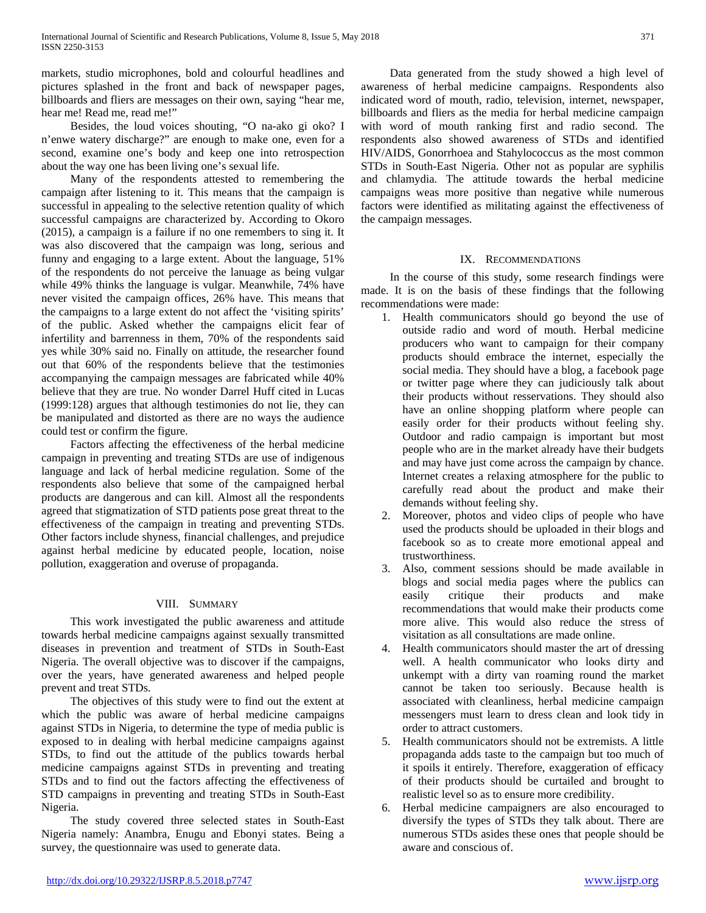markets, studio microphones, bold and colourful headlines and pictures splashed in the front and back of newspaper pages, billboards and fliers are messages on their own, saying "hear me, hear me! Read me, read me!"

 Besides, the loud voices shouting, "O na-ako gi oko? I n'enwe watery discharge?" are enough to make one, even for a second, examine one's body and keep one into retrospection about the way one has been living one's sexual life.

 Many of the respondents attested to remembering the campaign after listening to it. This means that the campaign is successful in appealing to the selective retention quality of which successful campaigns are characterized by. According to Okoro (2015), a campaign is a failure if no one remembers to sing it. It was also discovered that the campaign was long, serious and funny and engaging to a large extent. About the language, 51% of the respondents do not perceive the lanuage as being vulgar while 49% thinks the language is vulgar. Meanwhile, 74% have never visited the campaign offices, 26% have. This means that the campaigns to a large extent do not affect the 'visiting spirits' of the public. Asked whether the campaigns elicit fear of infertility and barrenness in them, 70% of the respondents said yes while 30% said no. Finally on attitude, the researcher found out that 60% of the respondents believe that the testimonies accompanying the campaign messages are fabricated while 40% believe that they are true. No wonder Darrel Huff cited in Lucas (1999:128) argues that although testimonies do not lie, they can be manipulated and distorted as there are no ways the audience could test or confirm the figure.

 Factors affecting the effectiveness of the herbal medicine campaign in preventing and treating STDs are use of indigenous language and lack of herbal medicine regulation. Some of the respondents also believe that some of the campaigned herbal products are dangerous and can kill. Almost all the respondents agreed that stigmatization of STD patients pose great threat to the effectiveness of the campaign in treating and preventing STDs. Other factors include shyness, financial challenges, and prejudice against herbal medicine by educated people, location, noise pollution, exaggeration and overuse of propaganda.

# VIII. SUMMARY

 This work investigated the public awareness and attitude towards herbal medicine campaigns against sexually transmitted diseases in prevention and treatment of STDs in South-East Nigeria. The overall objective was to discover if the campaigns, over the years, have generated awareness and helped people prevent and treat STDs.

 The objectives of this study were to find out the extent at which the public was aware of herbal medicine campaigns against STDs in Nigeria, to determine the type of media public is exposed to in dealing with herbal medicine campaigns against STDs, to find out the attitude of the publics towards herbal medicine campaigns against STDs in preventing and treating STDs and to find out the factors affecting the effectiveness of STD campaigns in preventing and treating STDs in South-East Nigeria.

 The study covered three selected states in South-East Nigeria namely: Anambra, Enugu and Ebonyi states. Being a survey, the questionnaire was used to generate data.

 Data generated from the study showed a high level of awareness of herbal medicine campaigns. Respondents also indicated word of mouth, radio, television, internet, newspaper, billboards and fliers as the media for herbal medicine campaign with word of mouth ranking first and radio second. The respondents also showed awareness of STDs and identified HIV/AIDS, Gonorrhoea and Stahylococcus as the most common STDs in South-East Nigeria. Other not as popular are syphilis and chlamydia. The attitude towards the herbal medicine campaigns weas more positive than negative while numerous factors were identified as militating against the effectiveness of the campaign messages.

## IX. RECOMMENDATIONS

 In the course of this study, some research findings were made. It is on the basis of these findings that the following recommendations were made:

- 1. Health communicators should go beyond the use of outside radio and word of mouth. Herbal medicine producers who want to campaign for their company products should embrace the internet, especially the social media. They should have a blog, a facebook page or twitter page where they can judiciously talk about their products without resservations. They should also have an online shopping platform where people can easily order for their products without feeling shy. Outdoor and radio campaign is important but most people who are in the market already have their budgets and may have just come across the campaign by chance. Internet creates a relaxing atmosphere for the public to carefully read about the product and make their demands without feeling shy.
- 2. Moreover, photos and video clips of people who have used the products should be uploaded in their blogs and facebook so as to create more emotional appeal and trustworthiness.
- 3. Also, comment sessions should be made available in blogs and social media pages where the publics can easily critique their products and make recommendations that would make their products come more alive. This would also reduce the stress of visitation as all consultations are made online.
- 4. Health communicators should master the art of dressing well. A health communicator who looks dirty and unkempt with a dirty van roaming round the market cannot be taken too seriously. Because health is associated with cleanliness, herbal medicine campaign messengers must learn to dress clean and look tidy in order to attract customers.
- 5. Health communicators should not be extremists. A little propaganda adds taste to the campaign but too much of it spoils it entirely. Therefore, exaggeration of efficacy of their products should be curtailed and brought to realistic level so as to ensure more credibility.
- 6. Herbal medicine campaigners are also encouraged to diversify the types of STDs they talk about. There are numerous STDs asides these ones that people should be aware and conscious of.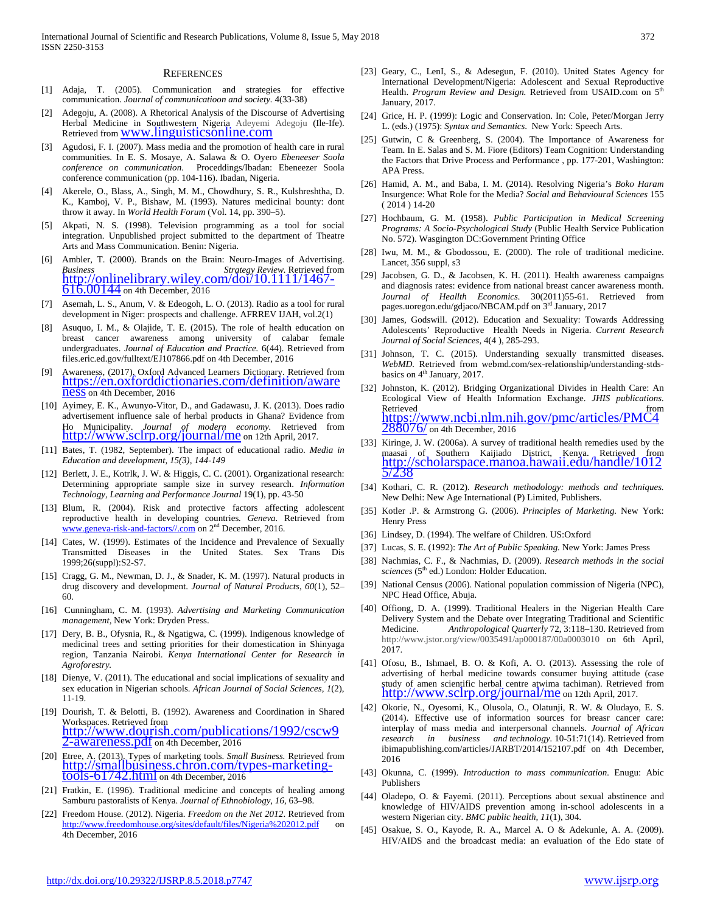#### **REFERENCES**

- [1] Adaja, T. (2005). Communication and strategies for effective communication. *Journal of communicatioon and society.* 4(33-38)
- [2] Adegoju, A. (2008). A Rhetorical Analysis of the Discourse of Advertising Herbal Medicine in Southwestern Nigeria [Adeyemi Adegoju](mailto:yemiadegoju@oauife.edu.ng) (Ile-Ife). Retrieved fro[m www.linguisticsonline.com](http://www.linguisticsonline.com/)
- [3] Agudosi, F. I. (2007). Mass media and the promotion of health care in rural communities. In E. S. Mosaye, A. Salawa & O. Oyero *Ebeneeser Soola conference on communication*. Proceddings/Ibadan: Ebeneezer Soola conference communication (pp. 104-116). Ibadan, Nigeria.
- [4] Akerele, O., Blass, A., Singh, M. M., Chowdhury, S. R., Kulshreshtha, D. K., Kamboj, V. P., Bishaw, M. (1993). Natures medicinal bounty: dont throw it away. In *World Health Forum* (Vol. 14, pp. 390–5).
- [5] Akpati, N. S. (1998). Television programming as a tool for social integration. Unpublished project submitted to the department of Theatre Arts and Mass Communication. Benin: Nigeria.
- [6] Ambler, T. (2000). Brands on the Brain: Neuro-Images of Advertising. *Business Strategy Review.* Retrieved from [http://onlinelibrary.wiley.com/doi/10.1111/1467-](http://onlinelibrary.wiley.com/doi/10.1111/1467-616.00144)<br>[616.00144](http://onlinelibrary.wiley.com/doi/10.1111/1467-616.00144) on 4th December, 2016
- [7] Asemah, L. S., Anum, V. & Edeogoh, L. O. (2013). Radio as a tool for rural development in Niger: prospects and challenge. AFRREV IJAH, vol.2(1)
- [8] Asuquo, I. M., & Olajide, T. E. (2015). The role of health education on breast cancer awareness among university of calabar female undergraduates. *Journal of Education and Practice.* 6(44). Retrieved from files.eric.ed.gov/fulltext/EJ107866.pdf on 4th December, 2016
- [9] Awareness, (2017). Oxford Advanced Learners Dictionary. Retrieved from [https://en.oxforddictionaries.com/definition/aware](https://en.oxforddictionaries.com/definition/awareness) [ness](https://en.oxforddictionaries.com/definition/awareness) on 4th December, 2016
- [10] Ayimey, E. K., Awunyo-Vitor, D., and Gadawasu, J. K. (2013). Does radio advertisement influence sale of herbal products in Ghana? Evidence from Ho Municipality. *Journal of modern economy.* Retrieved from <http://www.sclrp.org/journal/me> on 12th April, 2017.
- [11] Bates, T. (1982, September). The impact of educational radio. *Media in Education and development, 15(3), 144-149*
- [12] Berlett, J. E., Kotrlk, J. W. & Higgis, C. C. (2001). Organizational research: Determining appropriate sample size in survey research. *Information Technology, Learning and Performance Journal* 19(1), pp. 43-50
- [13] Blum, R. (2004). Risk and protective factors affecting adolescent reproductive health in developing countries*. Geneva.* Retrieved from [www.geneva-risk-and-factors//.com](http://www.geneva-risk-and-factors/.com) on 2<sup>nd</sup> December, 2016.
- [14] Cates, W. (1999). Estimates of the Incidence and Prevalence of Sexually Transmitted Diseases in the United States. Sex Trans Dis 1999;26(suppl):S2-S7.
- [15] Cragg, G. M., Newman, D. J., & Snader, K. M. (1997). Natural products in drug discovery and development. *Journal of Natural Products*, *60*(1), 52– 60.
- [16] Cunningham, C. M. (1993). *Advertising and Marketing Communication management,* New York: Dryden Press.
- [17] Dery, B. B., Ofysnia, R., & Ngatigwa, C. (1999). Indigenous knowledge of medicinal trees and setting priorities for their domestication in Shinyaga region, Tanzania Nairobi. *Kenya International Center for Research in Agroforestry.*
- [18] Dienye, V. (2011). The educational and social implications of sexuality and sex education in Nigerian schools. *African Journal of Social Sciences, 1*(2), 11-19.
- [19] Dourish, T. & Belotti, B. (1992). Awareness and Coordination in Shared Workspaces. Retrieved from [http://www.dourish.com/publications/1992/cscw9](http://www.dourish.com/publications/1992/cscw92-awareness.pdf) [2-awareness.pdf](http://www.dourish.com/publications/1992/cscw92-awareness.pdf) on 4th December, 2016
- [20] Etree, A. (2013). Types of marketing tools. *Small Business.* Retrieved from [http://smallbusiness.chron.com/types-marketing-](http://smallbusiness.chron.com/types-marketing-tools-61742.html) [tools-61742.html](http://smallbusiness.chron.com/types-marketing-tools-61742.html) on 4th December, 2016
- [21] Fratkin, E. (1996). Traditional medicine and concepts of healing among Samburu pastoralists of Kenya. *Journal of Ethnobiology*, *16*, 63–98.
- [22] Freedom House. (2012). Nigeria. *Freedom on the Net 2012*. Retrieved from <http://www.freedomhouse.org/sites/default/files/Nigeria%202012.pdf> on 4th December, 2016
- [23] Geary, C., LenI, S., & Adesegun, F. (2010). United States Agency for International Development/Nigeria: Adolescent and Sexual Reproductive Health. *Program Review and Design*. Retrieved from USAID.com on 5<sup>th</sup> January, 2017.
- [24] Grice, H. P. (1999): Logic and Conservation. In: Cole, Peter/Morgan Jerry L. (eds.) (1975): *Syntax and Semantics*. New York: Speech Arts.
- [25] Gutwin, C & Greenberg, S. (2004). The Importance of Awareness for Team. In E. Salas and S. M. Fiore (Editors) Team Cognition: Understanding the Factors that Drive Process and Performance , pp. 177-201, Washington: APA Press.
- [26] Hamid, A. M., and Baba, I. M. (2014). Resolving Nigeria's *Boko Haram*  Insurgence: What Role for the Media? *Social and Behavioural Sciences* 155 ( 2014 ) 14-20
- [27] Hochbaum, G. M. (1958). *Public Participation in Medical Screening Programs: A Socio-Psychological Study* (Public Health Service Publication No. 572). Wasgington DC:Government Printing Office
- [28] Iwu, M. M., & Gbodossou, E. (2000). The role of traditional medicine. Lancet, 356 suppl, s3
- [29] Jacobsen, G. D., & Jacobsen, K. H. (2011). Health awareness campaigns and diagnosis rates: evidence from national breast cancer awareness month. *Journal of Heallth Economics.* 30(2011)55-61. Retrieved from pages.uoregon.edu/gdjaco/NBCAM.pdf on 3rd January, 2017
- [30] James, Godswill. (2012). Education and Sexuality: Towards Addressing Adolescents' Reproductive Health Needs in Nigeria. *Current Research Journal of Social Sciences,* 4(4 ), 285-293.
- [31] Johnson, T. C. (2015). Understanding sexually transmitted diseases. *WebMD.* Retrieved from webmd.com/sex-relationship/understanding-stdsbasics on 4<sup>th</sup> January, 2017.
- [32] Johnston, K. (2012). Bridging Organizational Divides in Health Care: An Ecological View of Health Information Exchange. *JHIS publications.* Retrieved<br><u>[https://www.ncbi.nlm.nih.gov/pmc/articles/PMC4](https://www.ncbi.nlm.nih.gov/pmc/articles/PMC4288076/)</u> [288076/](https://www.ncbi.nlm.nih.gov/pmc/articles/PMC4288076/) on 4th December, 2016
- [33] Kiringe, J. W. (2006a). A survey of traditional health remedies used by the maasai of Southern Kaijiado District, Kenya. Retrieved from [http://scholarspace.manoa.hawaii.edu/handle/1012](http://scholarspace.manoa.hawaii.edu/handle/10125/238) [5/238](http://scholarspace.manoa.hawaii.edu/handle/10125/238)
- [34] Kothari, C. R. (2012). *Research methodology: methods and techniques.*  New Delhi: New Age International (P) Limited, Publishers.
- [35] Kotler .P. & Armstrong G. (2006). *Principles of Marketing.* New York: Henry Press
- [36] Lindsey, D. (1994). The welfare of Children. US:Oxford
- [37] Lucas, S. E. (1992): *The Art of Public Speaking.* New York: James Press
- [38] Nachmias, C. F., & Nachmias, D. (2009). *Research methods in the social sciences* (5<sup>th</sup> ed.) London: Holder Education.
- [39] National Census (2006). National population commission of Nigeria (NPC), NPC Head Office, Abuja.
- [40] Offiong, D. A. (1999). Traditional Healers in the Nigerian Health Care Delivery System and the Debate over Integrating Traditional and Scientific Medicine. *Anthropological Quarterly* 72, 3:118–130. Retrieved from <http://www.jstor.org/view/0035491/ap000187/00a0003010> on 6th April, 2017.
- [41] Ofosu, B., Ishmael, B. O. & Kofi, A. O. (2013). Assessing the role of advertising of herbal medicine towards consumer buying attitude (case study of amen scientific herbal centre atwima tachiman). Retrieved from <http://www.sclrp.org/journal/me> on 12th April, 2017.
- [42] Okorie, N., Oyesomi, K., Olusola, O., Olatunji, R. W. & Oludayo, E. S. (2014). Effective use of information sources for breasr cancer care: interplay of mass media and interpersonal channels. *Journal of African research in business and technology.* 10-51:71(14). Retrieved from ibimapublishing.com/articles/JARBT/2014/152107.pdf on 4th December, 2016
- [43] Okunna, C. (1999). *Introduction to mass communication.* Enugu: Abic Publishers
- [44] Oladepo, O. & Fayemi. (2011). Perceptions about sexual abstinence and knowledge of HIV/AIDS prevention among in-school adolescents in a western Nigerian city. *BMC public health, 11*(1), 304.
- [45] Osakue, S. O., Kayode, R. A., Marcel A. O & Adekunle, A. A. (2009). HIV/AIDS and the broadcast media: an evaluation of the Edo state of